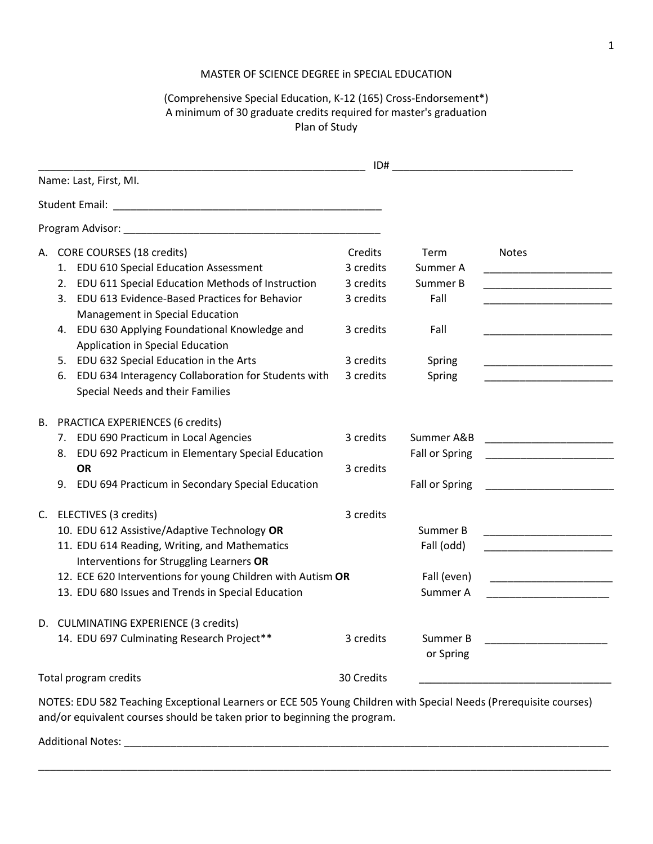## MASTER OF SCIENCE DEGREE in SPECIAL EDUCATION

## (Comprehensive Special Education, K-12 (165) Cross-Endorsement\*) A minimum of 30 graduate credits required for master's graduation Plan of Study

| Name: Last, First, MI.                                                                                                                                                                                                                                                                                                                                                                                                                                   | ID#                                                                                   |                                                                  |                                                                                                                                                                                                                                                      |
|----------------------------------------------------------------------------------------------------------------------------------------------------------------------------------------------------------------------------------------------------------------------------------------------------------------------------------------------------------------------------------------------------------------------------------------------------------|---------------------------------------------------------------------------------------|------------------------------------------------------------------|------------------------------------------------------------------------------------------------------------------------------------------------------------------------------------------------------------------------------------------------------|
|                                                                                                                                                                                                                                                                                                                                                                                                                                                          |                                                                                       |                                                                  |                                                                                                                                                                                                                                                      |
|                                                                                                                                                                                                                                                                                                                                                                                                                                                          |                                                                                       |                                                                  |                                                                                                                                                                                                                                                      |
| A. CORE COURSES (18 credits)<br>1. EDU 610 Special Education Assessment<br>2. EDU 611 Special Education Methods of Instruction<br>3. EDU 613 Evidence-Based Practices for Behavior<br>Management in Special Education<br>4. EDU 630 Applying Foundational Knowledge and<br>Application in Special Education<br>5. EDU 632 Special Education in the Arts<br>EDU 634 Interagency Collaboration for Students with<br>6.<br>Special Needs and their Families | Credits<br>3 credits<br>3 credits<br>3 credits<br>3 credits<br>3 credits<br>3 credits | Term<br>Summer A<br>Summer B<br>Fall<br>Fall<br>Spring<br>Spring | <b>Notes</b><br><u> 1989 - Johann John Harry Harry Harry Harry Harry Harry Harry Harry Harry Harry Harry Harry Harry Harry Harry Harry Harry Harry Harry Harry Harry Harry Harry Harry Harry Harry Harry Harry Harry Harry Harry Harry Harry Har</u> |
| B. PRACTICA EXPERIENCES (6 credits)<br>7. EDU 690 Practicum in Local Agencies<br>8. EDU 692 Practicum in Elementary Special Education<br><b>OR</b><br>9. EDU 694 Practicum in Secondary Special Education                                                                                                                                                                                                                                                | 3 credits<br>3 credits                                                                | Summer A&B<br>Fall or Spring<br>Fall or Spring                   | <u> 1990 - Johann John Harry Harry Harry Harry Harry Harry Harry Harry Harry Harry Harry Harry Harry Harry Harry H</u>                                                                                                                               |
| C. ELECTIVES (3 credits)<br>10. EDU 612 Assistive/Adaptive Technology OR<br>11. EDU 614 Reading, Writing, and Mathematics<br>Interventions for Struggling Learners OR<br>12. ECE 620 Interventions for young Children with Autism OR<br>13. EDU 680 Issues and Trends in Special Education                                                                                                                                                               | 3 credits                                                                             | Summer B<br>Fall (odd)<br>Fall (even)<br>Summer A                | the property of the control of the control of the<br><u> 1990 - Johann John Harry Harry Harry Harry Harry Harry Harry Harry Harry Harry Harry Harry Harry Harry Harry</u>                                                                            |
| D. CULMINATING EXPERIENCE (3 credits)<br>14. EDU 697 Culminating Research Project**                                                                                                                                                                                                                                                                                                                                                                      | 3 credits                                                                             | Summer B<br>or Spring                                            |                                                                                                                                                                                                                                                      |
| Total program credits                                                                                                                                                                                                                                                                                                                                                                                                                                    | 30 Credits                                                                            |                                                                  |                                                                                                                                                                                                                                                      |
| NOTES: EDU 582 Teaching Exceptional Learners or ECE 505 Young Children with Special Needs (Prerequisite courses)<br>and/or equivalent courses should be taken prior to beginning the program.<br>Additional Notes:                                                                                                                                                                                                                                       |                                                                                       |                                                                  |                                                                                                                                                                                                                                                      |

\_\_\_\_\_\_\_\_\_\_\_\_\_\_\_\_\_\_\_\_\_\_\_\_\_\_\_\_\_\_\_\_\_\_\_\_\_\_\_\_\_\_\_\_\_\_\_\_\_\_\_\_\_\_\_\_\_\_\_\_\_\_\_\_\_\_\_\_\_\_\_\_\_\_\_\_\_\_\_\_\_\_\_\_\_\_\_\_\_\_\_\_\_\_\_\_\_\_